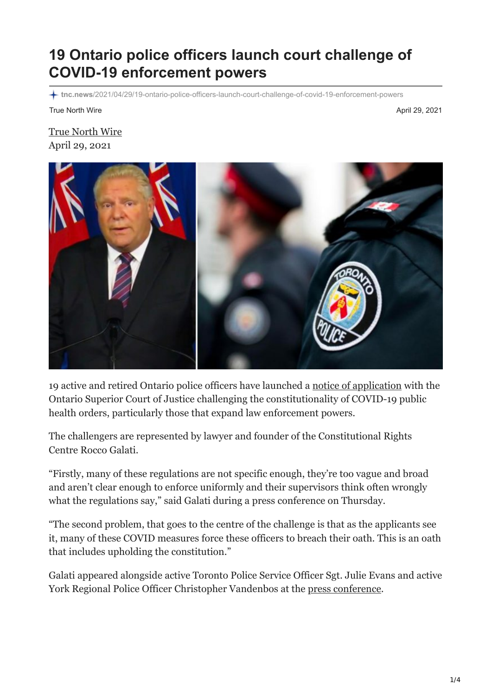## **19 Ontario police officers launch court challenge of COVID-19 enforcement powers**

**tnc.news**[/2021/04/29/19-ontario-police-officers-launch-court-challenge-of-covid-19-enforcement-powers](https://tnc.news/2021/04/29/19-ontario-police-officers-launch-court-challenge-of-covid-19-enforcement-powers/)

True North Wire April 29, 2021

[True North Wire](https://tnc.news/author/truenorthwire/) April 29, 2021



19 active and retired Ontario police officers have launched a [notice of application](https://www.constitutionalrightscentre.ca/20CRC16/wp-content/uploads/2021/04/police-noa-redacted.pdf) with the Ontario Superior Court of Justice challenging the constitutionality of COVID-19 public health orders, particularly those that expand law enforcement powers.

The challengers are represented by lawyer and founder of the Constitutional Rights Centre Rocco Galati.

"Firstly, many of these regulations are not specific enough, they're too vague and broad and aren't clear enough to enforce uniformly and their supervisors think often wrongly what the regulations say," said Galati during a press conference on Thursday.

"The second problem, that goes to the centre of the challenge is that as the applicants see it, many of these COVID measures force these officers to breach their oath. This is an oath that includes upholding the constitution."

Galati appeared alongside active Toronto Police Service Officer Sgt. Julie Evans and active York Regional Police Officer Christopher Vandenbos at the [press conference](https://www.wholeheartedmedia.ca/).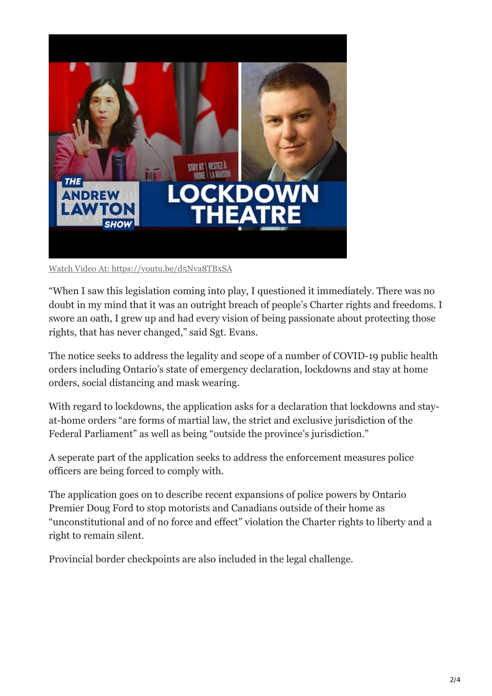

Watch Video At: <https://youtu.be/d5Nva8TBxSA>

"When I saw this legislation coming into play, I questioned it immediately. There was no doubt in my mind that it was an outright breach of people's Charter rights and freedoms. I swore an oath, I grew up and had every vision of being passionate about protecting those rights, that has never changed," said Sgt. Evans.

The notice seeks to address the legality and scope of a number of COVID-19 public health orders including Ontario's state of emergency declaration, lockdowns and stay at home orders, social distancing and mask wearing.

With regard to lockdowns, the application asks for a declaration that lockdowns and stayat-home orders "are forms of martial law, the strict and exclusive jurisdiction of the Federal Parliament" as well as being "outside the province's jurisdiction."

A seperate part of the application seeks to address the enforcement measures police officers are being forced to comply with.

The application goes on to describe recent expansions of police powers by Ontario Premier Doug Ford to stop motorists and Canadians outside of their home as "unconstitutional and of no force and effect" violation the Charter rights to liberty and a right to remain silent.

Provincial border checkpoints are also included in the legal challenge.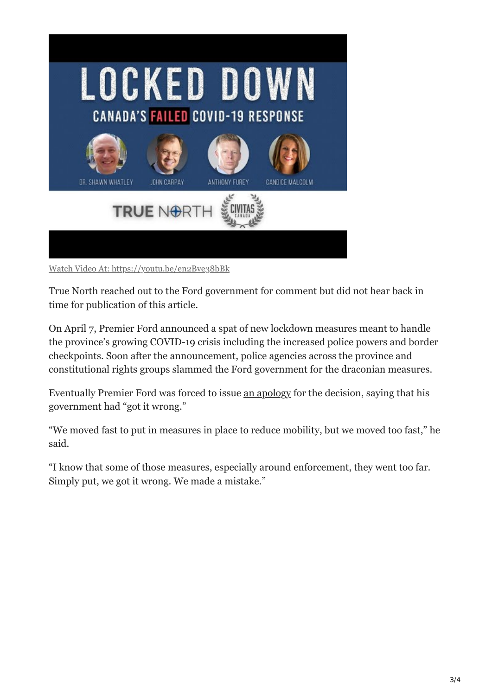

Watch Video At: <https://youtu.be/en2Bve38bBk>

True North reached out to the Ford government for comment but did not hear back in time for publication of this article.

On April 7, Premier Ford announced a spat of new lockdown measures meant to handle the province's growing COVID-19 crisis including the increased police powers and border checkpoints. Soon after the announcement, police agencies across the province and constitutional rights groups slammed the Ford government for the draconian measures.

Eventually Premier Ford was forced to issue [an apology](https://tnc.news/2021/04/22/ford-apologizes-for-controversial-lockdown-measures/) for the decision, saying that his government had "got it wrong."

"We moved fast to put in measures in place to reduce mobility, but we moved too fast," he said.

"I know that some of those measures, especially around enforcement, they went too far. Simply put, we got it wrong. We made a mistake."